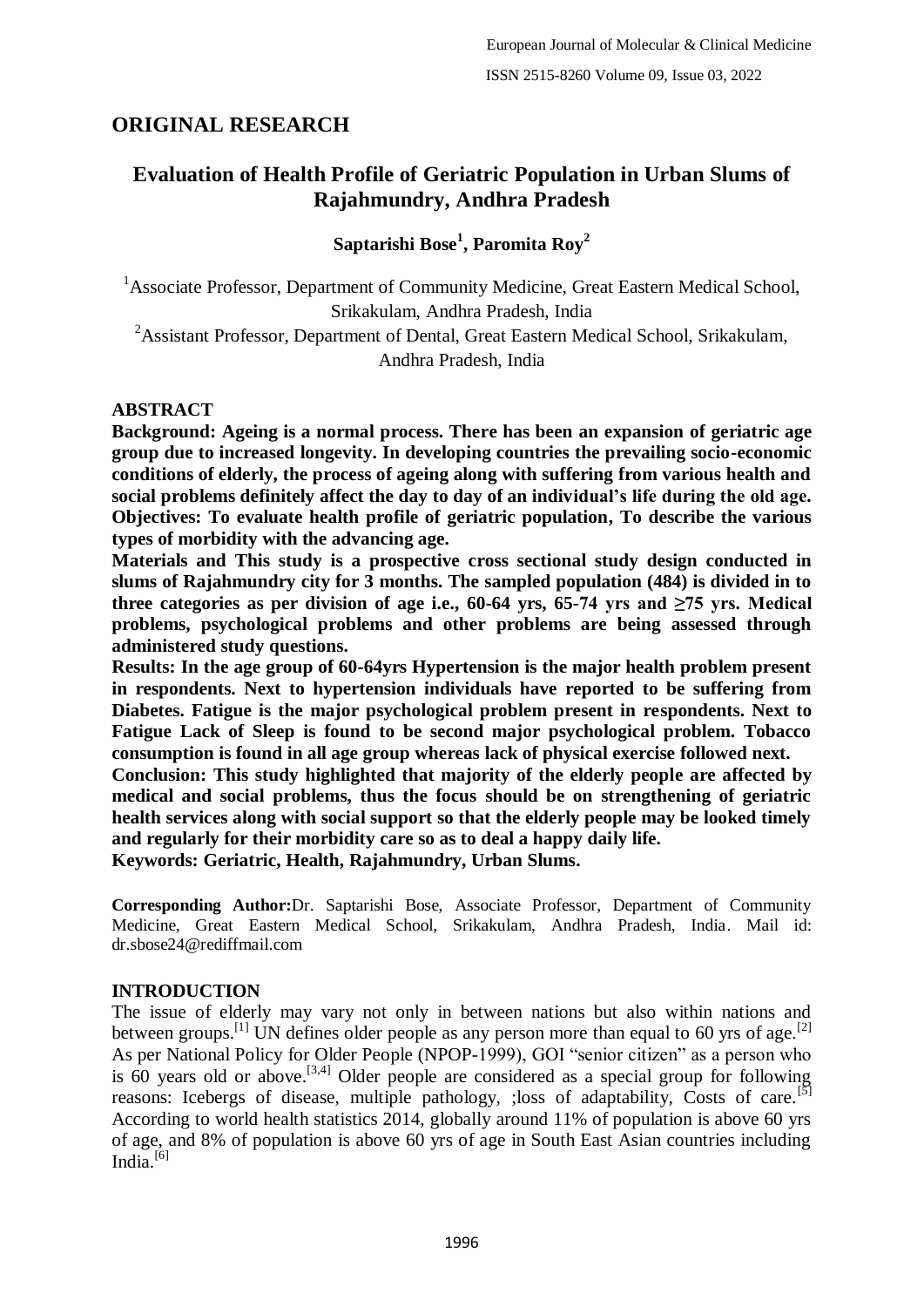# **ORIGINAL RESEARCH**

# **Evaluation of Health Profile of Geriatric Population in Urban Slums of Rajahmundry, Andhra Pradesh**

**Saptarishi Bose<sup>1</sup> , Paromita Roy<sup>2</sup>**

<sup>1</sup>Associate Professor, Department of Community Medicine, Great Eastern Medical School, Srikakulam, Andhra Pradesh, India

<sup>2</sup>Assistant Professor, Department of Dental, Great Eastern Medical School, Srikakulam, Andhra Pradesh, India

## **ABSTRACT**

**Background: Ageing is a normal process. There has been an expansion of geriatric age group due to increased longevity. In developing countries the prevailing socio-economic conditions of elderly, the process of ageing along with suffering from various health and social problems definitely affect the day to day of an individual's life during the old age. Objectives: To evaluate health profile of geriatric population, To describe the various types of morbidity with the advancing age.**

**Materials and This study is a prospective cross sectional study design conducted in slums of Rajahmundry city for 3 months. The sampled population (484) is divided in to**  three categories as per division of age i.e.,  $60-64$  yrs,  $65-74$  yrs and  $\geq 75$  yrs. Medical **problems, psychological problems and other problems are being assessed through administered study questions.**

**Results: In the age group of 60-64yrs Hypertension is the major health problem present in respondents. Next to hypertension individuals have reported to be suffering from Diabetes. Fatigue is the major psychological problem present in respondents. Next to Fatigue Lack of Sleep is found to be second major psychological problem. Tobacco consumption is found in all age group whereas lack of physical exercise followed next.**

**Conclusion: This study highlighted that majority of the elderly people are affected by medical and social problems, thus the focus should be on strengthening of geriatric health services along with social support so that the elderly people may be looked timely and regularly for their morbidity care so as to deal a happy daily life.**

**Keywords: Geriatric, Health, Rajahmundry, Urban Slums.**

**Corresponding Author:**Dr. Saptarishi Bose, Associate Professor, Department of Community Medicine, Great Eastern Medical School, Srikakulam, Andhra Pradesh, India. Mail id: dr.sbose24@rediffmail.com

# **INTRODUCTION**

The issue of elderly may vary not only in between nations but also within nations and between groups.<sup>[1]</sup> UN defines older people as any person more than equal to 60 yrs of age.<sup>[2]</sup> As per National Policy for Older People (NPOP-1999), GOI "senior citizen" as a person who is  $60$  years old or above.<sup>[3,4]</sup> Older people are considered as a special group for following reasons: Icebergs of disease, multiple pathology, ; loss of adaptability, Costs of care.<sup>[5]</sup> According to world health statistics 2014, globally around 11% of population is above 60 yrs of age, and 8% of population is above 60 yrs of age in South East Asian countries including India. $[6]$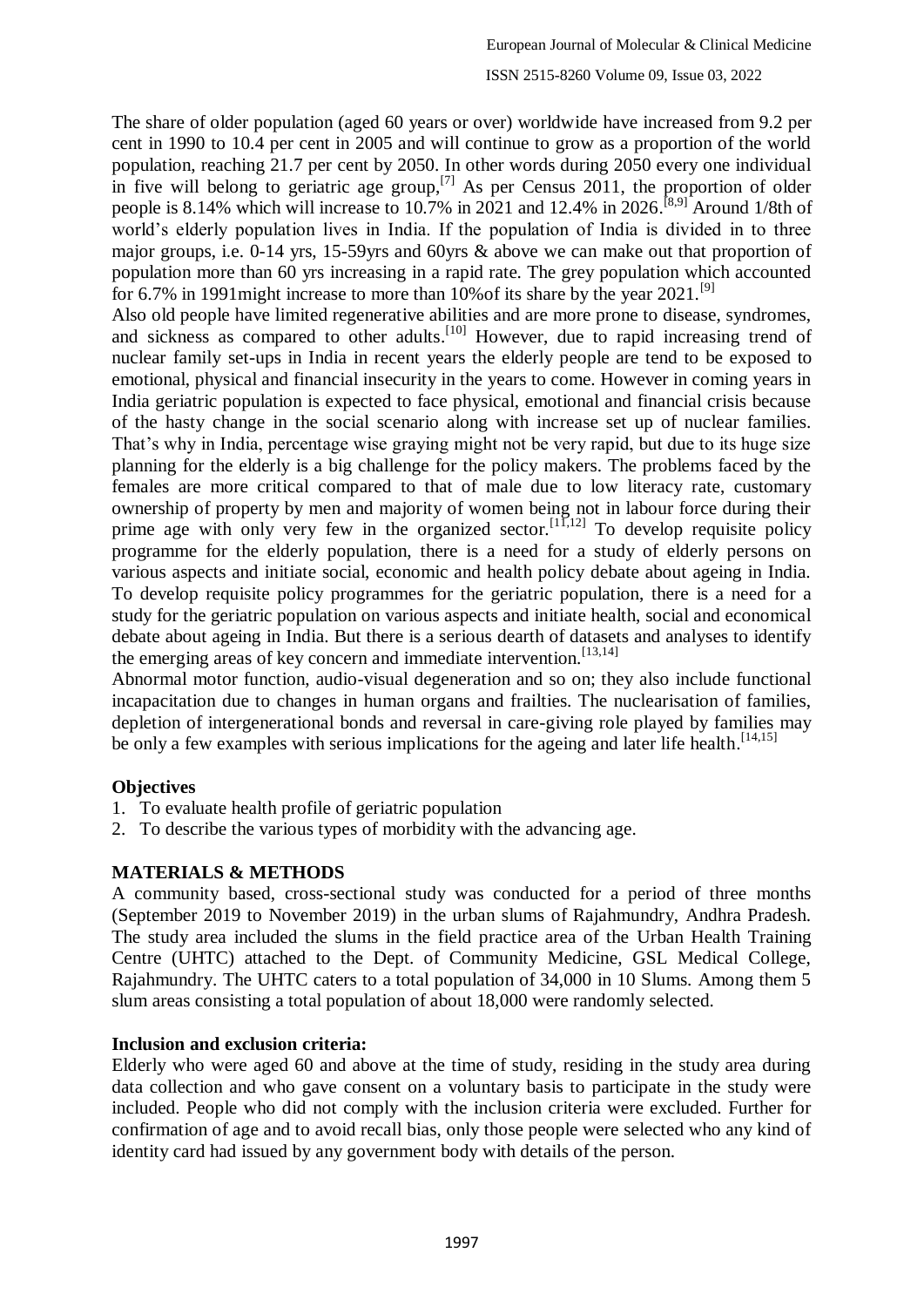The share of older population (aged 60 years or over) worldwide have increased from 9.2 per cent in 1990 to 10.4 per cent in 2005 and will continue to grow as a proportion of the world population, reaching 21.7 per cent by 2050. In other words during 2050 every one individual in five will belong to geriatric age group,<sup>[7]</sup> As per Census 2011, the proportion of older people is 8.14% which will increase to 10.7% in 2021 and 12.4% in 2026.<sup>[8,9]</sup> Around 1/8th of world's elderly population lives in India. If the population of India is divided in to three major groups, i.e. 0-14 yrs, 15-59yrs and 60yrs & above we can make out that proportion of population more than 60 yrs increasing in a rapid rate. The grey population which accounted for 6.7% in 1991 might increase to more than 10% of its share by the year  $2021$ .<sup>[9]</sup>

Also old people have limited regenerative abilities and are more prone to disease, syndromes, and sickness as compared to other adults.<sup>[10]</sup> However, due to rapid increasing trend of nuclear family set-ups in India in recent years the elderly people are tend to be exposed to emotional, physical and financial insecurity in the years to come. However in coming years in India geriatric population is expected to face physical, emotional and financial crisis because of the hasty change in the social scenario along with increase set up of nuclear families. That's why in India, percentage wise graying might not be very rapid, but due to its huge size planning for the elderly is a big challenge for the policy makers. The problems faced by the females are more critical compared to that of male due to low literacy rate, customary ownership of property by men and majority of women being not in labour force during their prime age with only very few in the organized sector.<sup>[11,12]</sup> To develop requisite policy programme for the elderly population, there is a need for a study of elderly persons on various aspects and initiate social, economic and health policy debate about ageing in India. To develop requisite policy programmes for the geriatric population, there is a need for a study for the geriatric population on various aspects and initiate health, social and economical debate about ageing in India. But there is a serious dearth of datasets and analyses to identify the emerging areas of key concern and immediate intervention.<sup>[13,14]</sup>

Abnormal motor function, audio-visual degeneration and so on; they also include functional incapacitation due to changes in human organs and frailties. The nuclearisation of families, depletion of intergenerational bonds and reversal in care-giving role played by families may be only a few examples with serious implications for the ageing and later life health.<sup>[14,15]</sup>

## **Objectives**

- 1. To evaluate health profile of geriatric population
- 2. To describe the various types of morbidity with the advancing age.

## **MATERIALS & METHODS**

A community based, cross-sectional study was conducted for a period of three months (September 2019 to November 2019) in the urban slums of Rajahmundry, Andhra Pradesh. The study area included the slums in the field practice area of the Urban Health Training Centre (UHTC) attached to the Dept. of Community Medicine, GSL Medical College, Rajahmundry. The UHTC caters to a total population of 34,000 in 10 Slums. Among them 5 slum areas consisting a total population of about 18,000 were randomly selected.

## **Inclusion and exclusion criteria:**

Elderly who were aged 60 and above at the time of study, residing in the study area during data collection and who gave consent on a voluntary basis to participate in the study were included. People who did not comply with the inclusion criteria were excluded. Further for confirmation of age and to avoid recall bias, only those people were selected who any kind of identity card had issued by any government body with details of the person.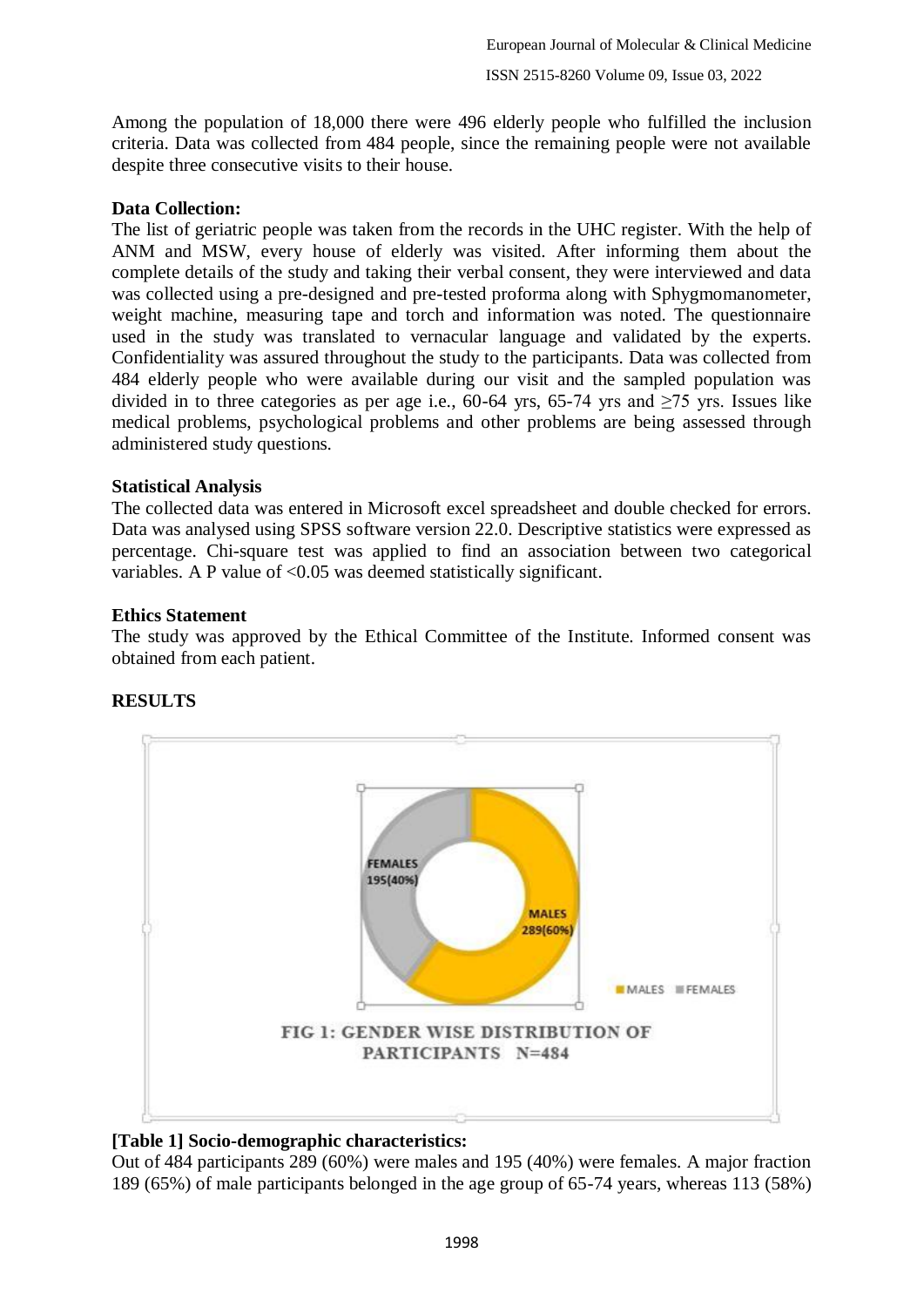Among the population of 18,000 there were 496 elderly people who fulfilled the inclusion criteria. Data was collected from 484 people, since the remaining people were not available despite three consecutive visits to their house.

## **Data Collection:**

The list of geriatric people was taken from the records in the UHC register. With the help of ANM and MSW, every house of elderly was visited. After informing them about the complete details of the study and taking their verbal consent, they were interviewed and data was collected using a pre-designed and pre-tested proforma along with Sphygmomanometer, weight machine, measuring tape and torch and information was noted. The questionnaire used in the study was translated to vernacular language and validated by the experts. Confidentiality was assured throughout the study to the participants. Data was collected from 484 elderly people who were available during our visit and the sampled population was divided in to three categories as per age i.e., 60-64 yrs, 65-74 yrs and  $\geq$ 75 yrs. Issues like medical problems, psychological problems and other problems are being assessed through administered study questions.

#### **Statistical Analysis**

The collected data was entered in Microsoft excel spreadsheet and double checked for errors. Data was analysed using SPSS software version 22.0. Descriptive statistics were expressed as percentage. Chi-square test was applied to find an association between two categorical variables. A P value of  $\leq$  0.05 was deemed statistically significant.

#### **Ethics Statement**

The study was approved by the Ethical Committee of the Institute. Informed consent was obtained from each patient.



# **RESULTS**

#### **[Table 1] Socio-demographic characteristics:**

Out of 484 participants 289 (60%) were males and 195 (40%) were females. A major fraction 189 (65%) of male participants belonged in the age group of 65-74 years, whereas 113 (58%)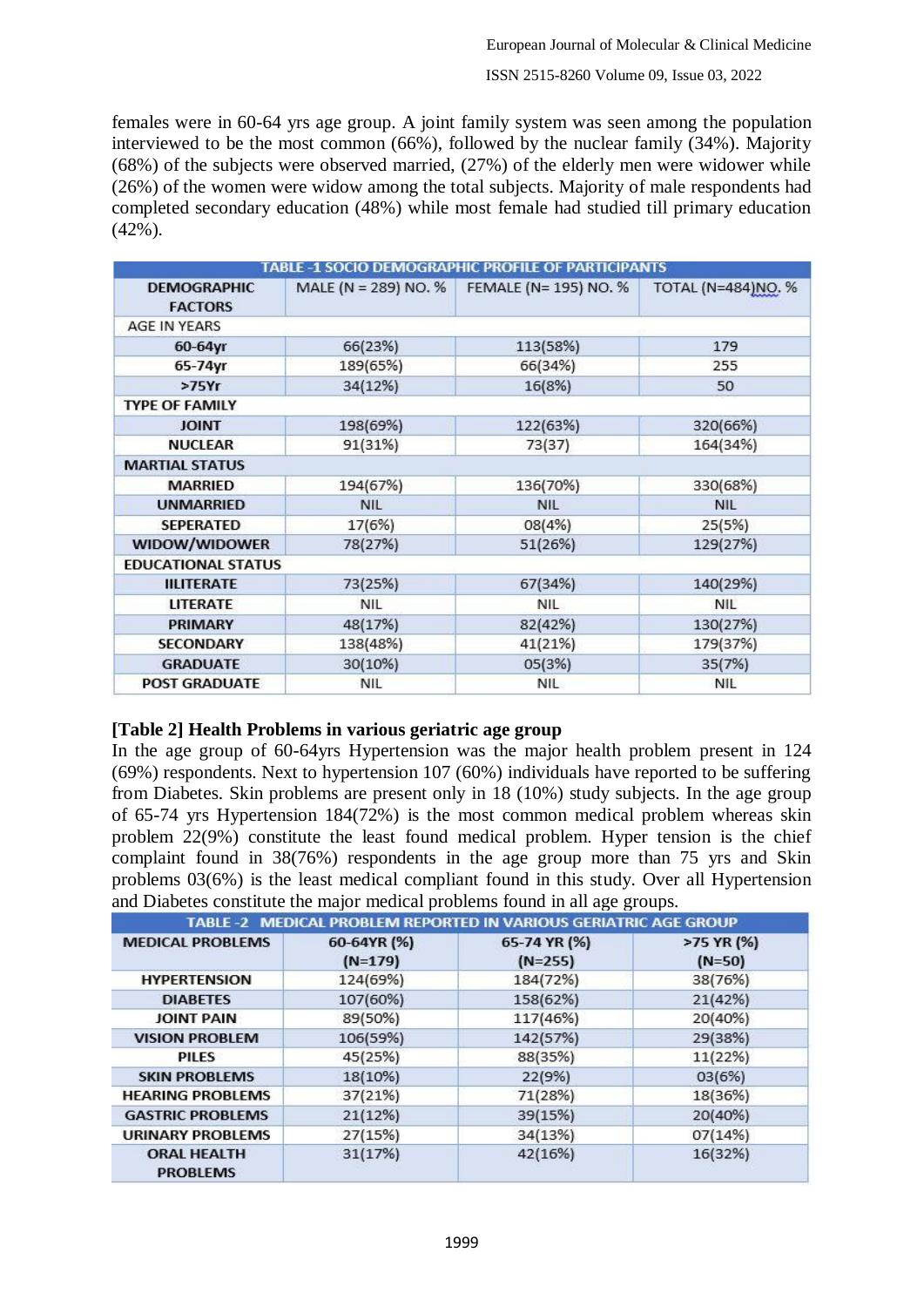females were in 60-64 yrs age group. A joint family system was seen among the population interviewed to be the most common (66%), followed by the nuclear family (34%). Majority (68%) of the subjects were observed married, (27%) of the elderly men were widower while (26%) of the women were widow among the total subjects. Majority of male respondents had completed secondary education (48%) while most female had studied till primary education (42%).

|                                      |                      | TABLE -1 SOCIO DEMOGRAPHIC PROFILE OF PARTICIPANTS |                    |
|--------------------------------------|----------------------|----------------------------------------------------|--------------------|
| <b>DEMOGRAPHIC</b><br><b>FACTORS</b> | MALE (N = 289) NO. % | FEMALE (N= 195) NO. %                              | TOTAL (N=484)NO. % |
| AGE IN YEARS                         |                      |                                                    |                    |
| $60-64$ yr                           | 66(23%)              | 113(58%)                                           | 179                |
| 65-74yr                              | 189(65%)             | 66(34%)                                            | 255                |
| >75Yr                                | 34(12%)              | 16(8%)                                             | 50                 |
| <b>TYPE OF FAMILY</b>                |                      |                                                    |                    |
| <b>JOINT</b>                         | 198(69%)             | 122(63%)                                           | 320(66%)           |
| <b>NUCLEAR</b>                       | 91(31%)              | 73(37)                                             | 164(34%)           |
| <b>MARTIAL STATUS</b>                |                      |                                                    |                    |
| <b>MARRIED</b>                       | 194(67%)             | 136(70%)                                           | 330(68%)           |
| <b>UNMARRIED</b>                     | <b>NIL</b>           | <b>NIL</b>                                         | <b>NIL</b>         |
| <b>SEPERATED</b>                     | 17(6%)               | 08(4%)                                             | 25(5%)             |
| WIDOW/WIDOWER                        | 78(27%)              | 51(26%)                                            | 129(27%)           |
| <b>EDUCATIONAL STATUS</b>            |                      |                                                    |                    |
| <b>IILITERATE</b>                    | 73(25%)              | 67(34%)                                            | 140(29%)           |
| <b>LITERATE</b>                      | <b>NIL</b>           | <b>NIL</b>                                         | <b>NIL</b>         |
| PRIMARY                              | 48(17%)              | 82(42%)                                            | 130(27%)           |
| <b>SECONDARY</b>                     | 138(48%)             | 41(21%)                                            | 179(37%)           |
| <b>GRADUATE</b>                      | 30(10%)              | 05(3%)                                             | 35(7%)             |
| <b>POST GRADUATE</b>                 | <b>NIL</b>           | <b>NIL</b>                                         | <b>NIL</b>         |

## **[Table 2] Health Problems in various geriatric age group**

In the age group of 60-64yrs Hypertension was the major health problem present in 124 (69%) respondents. Next to hypertension 107 (60%) individuals have reported to be suffering from Diabetes. Skin problems are present only in 18 (10%) study subjects. In the age group of 65-74 yrs Hypertension 184(72%) is the most common medical problem whereas skin problem 22(9%) constitute the least found medical problem. Hyper tension is the chief complaint found in 38(76%) respondents in the age group more than 75 yrs and Skin problems 03(6%) is the least medical compliant found in this study. Over all Hypertension and Diabetes constitute the major medical problems found in all age groups.

|                                       | TABLE -2 MEDICAL PROBLEM REPORTED IN VARIOUS GERIATRIC AGE GROUP |                           |                        |
|---------------------------------------|------------------------------------------------------------------|---------------------------|------------------------|
| <b>MEDICAL PROBLEMS</b>               | 60-64YR (%)<br>$(N=179)$                                         | 65-74 YR (%)<br>$(N=255)$ | >75 YR (%)<br>$(N=50)$ |
| <b>HYPERTENSION</b>                   | 124(69%)                                                         | 184(72%)                  | 38(76%)                |
| <b>DIABETES</b>                       | 107(60%)                                                         | 158(62%)                  | 21(42%)                |
| <b>JOINT PAIN</b>                     | 89(50%)                                                          | 117(46%)                  | 20(40%)                |
| <b>VISION PROBLEM</b>                 | 106(59%)                                                         | 142(57%)                  | 29(38%)                |
| PILES                                 | 45(25%)                                                          | 88(35%)                   | 11(22%)                |
| <b>SKIN PROBLEMS</b>                  | 18(10%)                                                          | 22(9%)                    | 03(6%)                 |
| <b>HEARING PROBLEMS</b>               | 37(21%)                                                          | 71(28%)                   | 18(36%)                |
| <b>GASTRIC PROBLEMS</b>               | 21(12%)                                                          | 39(15%)                   | 20(40%)                |
| <b>URINARY PROBLEMS</b>               | 27(15%)                                                          | 34(13%)                   | 07(14%)                |
| <b>ORAL HEALTH</b><br><b>PROBLEMS</b> | 31(17%)                                                          | 42(16%)                   | 16(32%)                |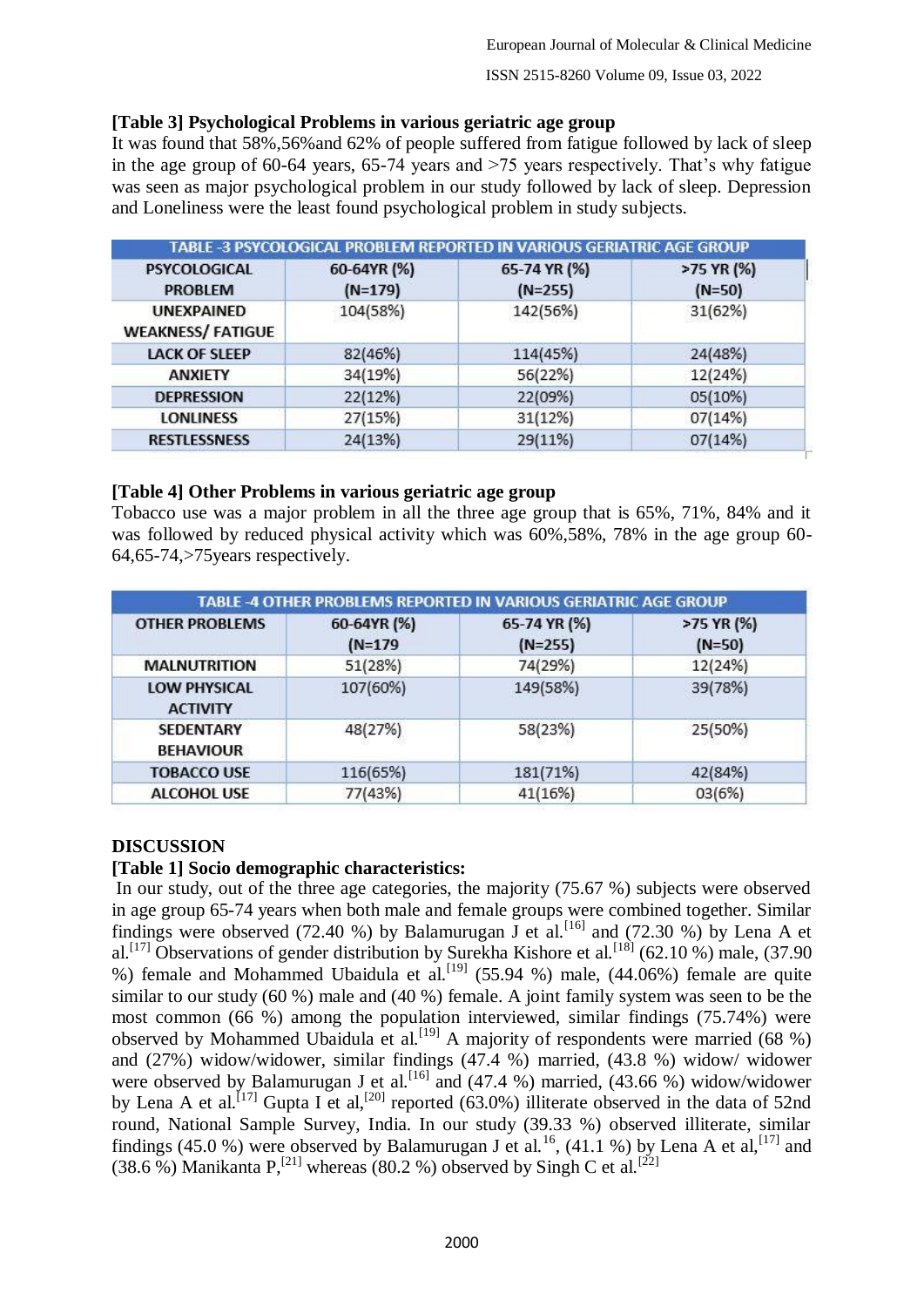## **[Table 3] Psychological Problems in various geriatric age group**

It was found that 58%,56%and 62% of people suffered from fatigue followed by lack of sleep in the age group of 60-64 years, 65-74 years and >75 years respectively. That's why fatigue was seen as major psychological problem in our study followed by lack of sleep. Depression and Loneliness were the least found psychological problem in study subjects.

| TABLE -3 PSYCOLOGICAL PROBLEM REPORTED IN VARIOUS GERIATRIC AGE GROUP |                          |                           |                        |
|-----------------------------------------------------------------------|--------------------------|---------------------------|------------------------|
| <b>PSYCOLOGICAL</b><br><b>PROBLEM</b>                                 | 60-64YR (%)<br>$(N=179)$ | 65-74 YR (%)<br>$(N=255)$ | >75 YR (%)<br>$(N=50)$ |
| UNEXPAINED<br><b>WEAKNESS/ FATIGUE</b>                                | 104(58%)                 | 142(56%)                  | 31(62%)                |
| <b>LACK OF SLEEP</b>                                                  | 82(46%)                  | 114(45%)                  | 24(48%)                |
| <b>ANXIETY</b>                                                        | 34(19%)                  | 56(22%)                   | 12(24%)                |
| <b>DEPRESSION</b>                                                     | 22(12%)                  | 22(09%)                   | 05(10%)                |
| <b>LONLINESS</b>                                                      | 27(15%)                  | 31(12%)                   | 07(14%)                |
| <b>RESTLESSNESS</b>                                                   | 24(13%)                  | 29(11%)                   | 07(14%)                |

#### **[Table 4] Other Problems in various geriatric age group**

Tobacco use was a major problem in all the three age group that is 65%, 71%, 84% and it was followed by reduced physical activity which was 60%,58%, 78% in the age group 60- 64,65-74,>75years respectively.

| TABLE -4 OTHER PROBLEMS REPORTED IN VARIOUS GERIATRIC AGE GROUP |                          |                           |                        |  |
|-----------------------------------------------------------------|--------------------------|---------------------------|------------------------|--|
| <b>OTHER PROBLEMS</b>                                           | 60-64YR (%)<br>$(N=179)$ | 65-74 YR (%)<br>$(N=255)$ | >75 YR (%)<br>$(N=50)$ |  |
| <b>MALNUTRITION</b>                                             | 51(28%)                  | 74(29%)                   | 12(24%)                |  |
| <b>LOW PHYSICAL</b><br><b>ACTIVITY</b>                          | 107(60%)                 | 149(58%)                  | 39(78%)                |  |
| <b>SEDENTARY</b><br><b>BEHAVIOUR</b>                            | 48(27%)                  | 58(23%)                   | 25(50%)                |  |
| <b>TOBACCO USE</b>                                              | 116(65%)                 | 181(71%)                  | 42(84%)                |  |
| <b>ALCOHOL USE</b>                                              | 77(43%)                  | 41(16%)                   | 03(6%)                 |  |

## **DISCUSSION**

## **[Table 1] Socio demographic characteristics:**

In our study, out of the three age categories, the majority (75.67 %) subjects were observed in age group 65-74 years when both male and female groups were combined together. Similar findings were observed (72.40 %) by Balamurugan J et al.<sup>[16]</sup> and (72.30 %) by Lena A et al.<sup>[17]</sup> Observations of gender distribution by Surekha Kishore et al.<sup>[18]</sup> (62.10 %) male, (37.90 %) female and Mohammed Ubaidula et al.<sup>[19]</sup> (55.94 %) male, (44.06%) female are quite similar to our study (60 %) male and (40 %) female. A joint family system was seen to be the most common (66 %) among the population interviewed, similar findings (75.74%) were observed by Mohammed Ubaidula et al.<sup>[19]</sup> A majority of respondents were married (68 %) and (27%) widow/widower, similar findings (47.4 %) married, (43.8 %) widow/ widower were observed by Balamurugan J et al.<sup>[16]</sup> and (47.4 %) married, (43.66 %) widow/widower by Lena A et al.<sup>[17]</sup> Gupta I et al,<sup>[20]</sup> reported (63.0%) illiterate observed in the data of 52nd round, National Sample Survey, India. In our study (39.33 %) observed illiterate, similar findings (45.0 %) were observed by Balamurugan J et al.<sup>16</sup>, (41.1 %) by Lena A et al,<sup>[17]</sup> and (38.6 %) Manikanta P,<sup>[21]</sup> whereas (80.2 %) observed by Singh C et al.<sup>[22]</sup>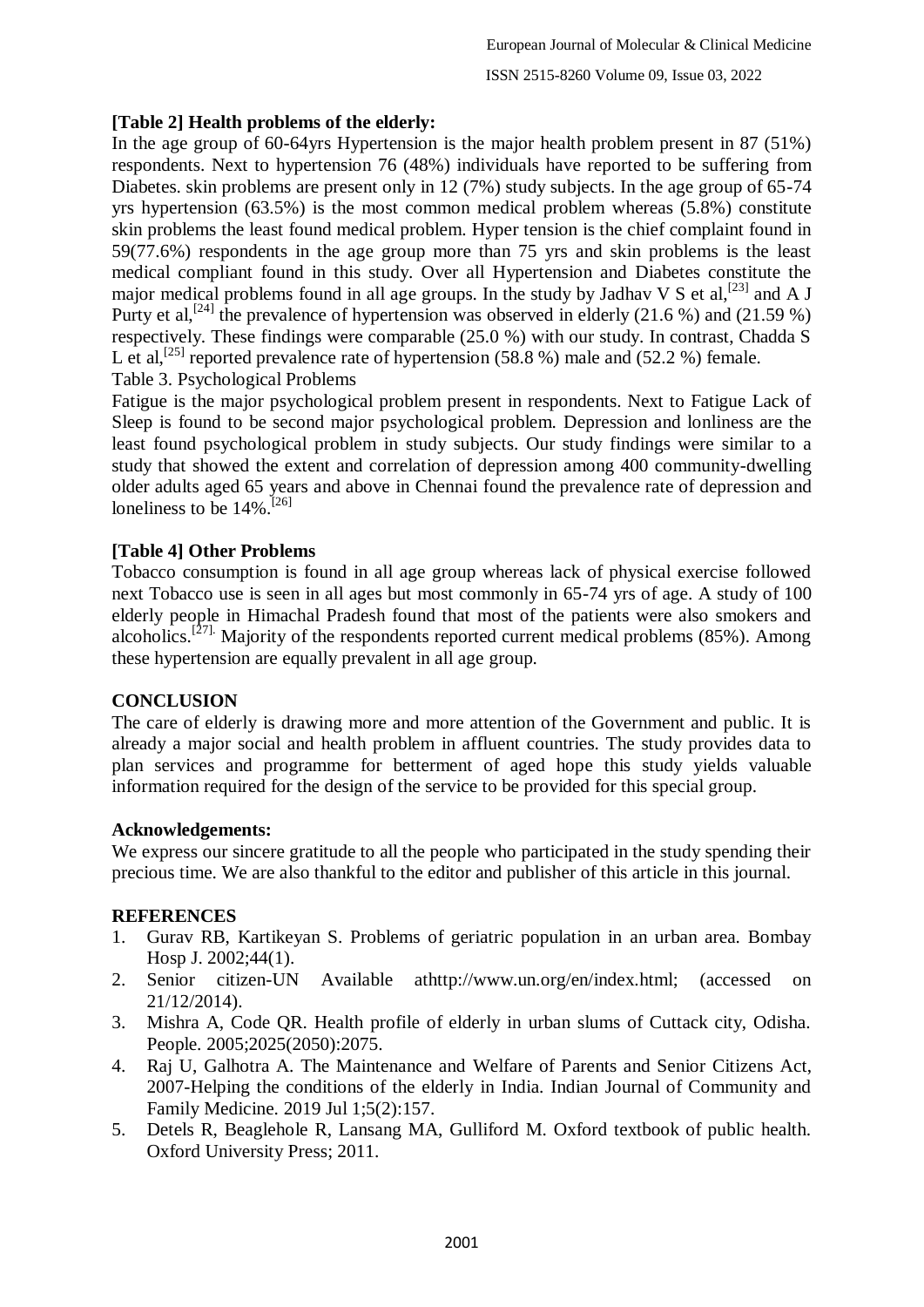## **[Table 2] Health problems of the elderly:**

In the age group of 60-64yrs Hypertension is the major health problem present in 87 (51%) respondents. Next to hypertension 76 (48%) individuals have reported to be suffering from Diabetes. skin problems are present only in 12 (7%) study subjects. In the age group of 65-74 yrs hypertension (63.5%) is the most common medical problem whereas (5.8%) constitute skin problems the least found medical problem. Hyper tension is the chief complaint found in 59(77.6%) respondents in the age group more than 75 yrs and skin problems is the least medical compliant found in this study. Over all Hypertension and Diabetes constitute the major medical problems found in all age groups. In the study by Jadhav V S et al,  $^{[23]}$  and A J Purty et al,<sup>[24]</sup> the prevalence of hypertension was observed in elderly (21.6 %) and (21.59 %) respectively. These findings were comparable (25.0 %) with our study. In contrast, Chadda S L et al,<sup>[25]</sup> reported prevalence rate of hypertension (58.8 %) male and (52.2 %) female. Table 3. Psychological Problems

Fatigue is the major psychological problem present in respondents. Next to Fatigue Lack of Sleep is found to be second major psychological problem. Depression and lonliness are the least found psychological problem in study subjects. Our study findings were similar to a study that showed the extent and correlation of depression among 400 community-dwelling older adults aged 65 years and above in Chennai found the prevalence rate of depression and loneliness to be 14%.<sup>[26]</sup>

## **[Table 4] Other Problems**

Tobacco consumption is found in all age group whereas lack of physical exercise followed next Tobacco use is seen in all ages but most commonly in 65-74 yrs of age. A study of 100 elderly people in Himachal Pradesh found that most of the patients were also smokers and alcoholics.<sup>[27]</sup> Majority of the respondents reported current medical problems (85%). Among these hypertension are equally prevalent in all age group.

## **CONCLUSION**

The care of elderly is drawing more and more attention of the Government and public. It is already a major social and health problem in affluent countries. The study provides data to plan services and programme for betterment of aged hope this study yields valuable information required for the design of the service to be provided for this special group.

## **Acknowledgements:**

We express our sincere gratitude to all the people who participated in the study spending their precious time. We are also thankful to the editor and publisher of this article in this journal.

## **REFERENCES**

- 1. Gurav RB, Kartikeyan S. Problems of geriatric population in an urban area. Bombay Hosp J. 2002;44(1).
- 2. Senior citizen-UN Available athttp://www.un.org/en/index.html; (accessed on 21/12/2014).
- 3. Mishra A, Code QR. Health profile of elderly in urban slums of Cuttack city, Odisha. People. 2005;2025(2050):2075.
- 4. Raj U, Galhotra A. The Maintenance and Welfare of Parents and Senior Citizens Act, 2007-Helping the conditions of the elderly in India. Indian Journal of Community and Family Medicine. 2019 Jul 1;5(2):157.
- 5. Detels R, Beaglehole R, Lansang MA, Gulliford M. Oxford textbook of public health. Oxford University Press; 2011.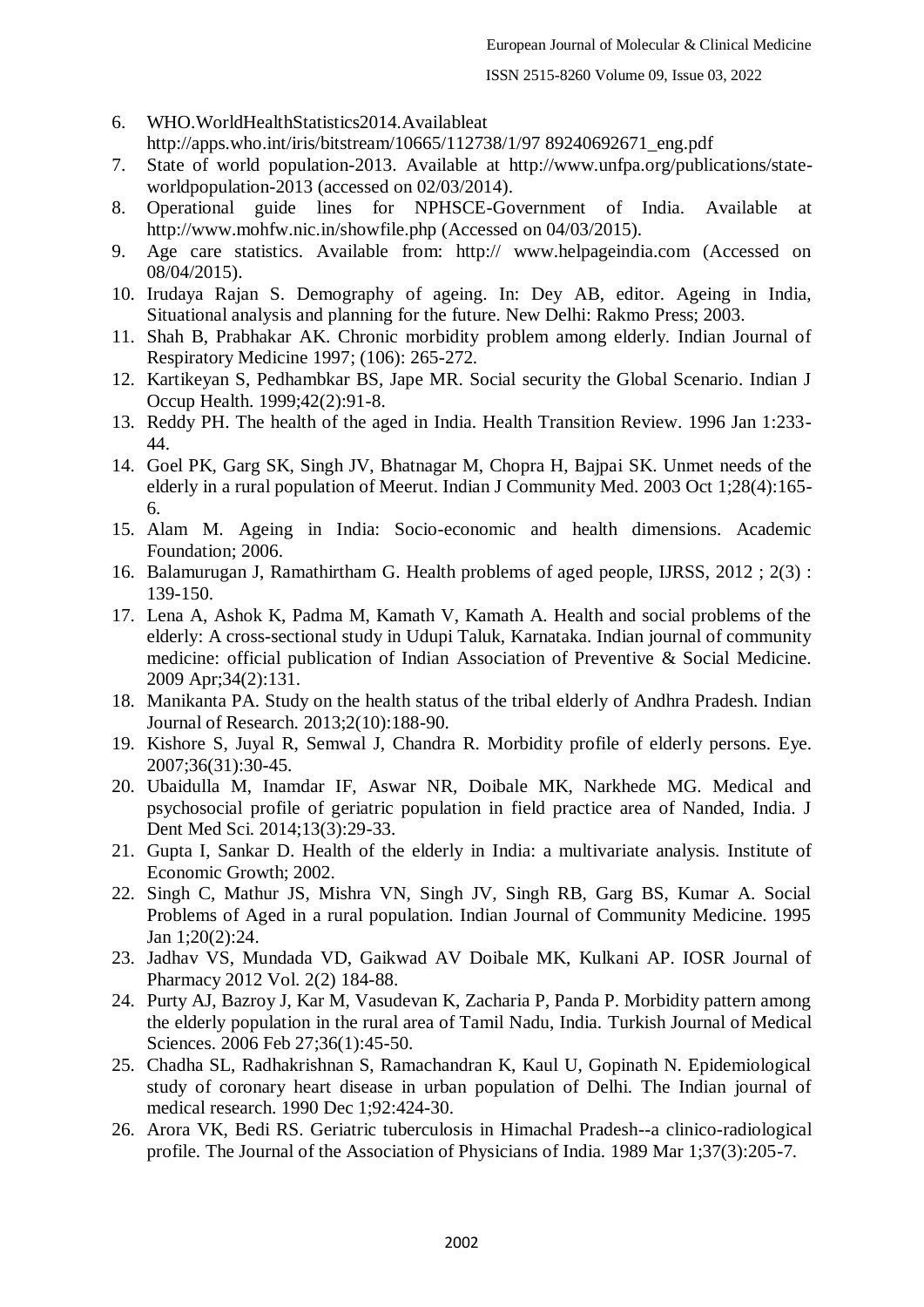- 6. WHO.WorldHealthStatistics2014.Availableat http://apps.who.int/iris/bitstream/10665/112738/1/97 89240692671\_eng.pdf
- 7. State of world population-2013. Available at http://www.unfpa.org/publications/stateworldpopulation-2013 (accessed on 02/03/2014).
- 8. Operational guide lines for NPHSCE-Government of India. Available at http://www.mohfw.nic.in/showfile.php (Accessed on 04/03/2015).
- 9. Age care statistics. Available from: http:// www.helpageindia.com (Accessed on 08/04/2015).
- 10. Irudaya Rajan S. Demography of ageing. In: Dey AB, editor. Ageing in India, Situational analysis and planning for the future. New Delhi: Rakmo Press; 2003.
- 11. Shah B, Prabhakar AK. Chronic morbidity problem among elderly. Indian Journal of Respiratory Medicine 1997; (106): 265-272.
- 12. Kartikeyan S, Pedhambkar BS, Jape MR. Social security the Global Scenario. Indian J Occup Health. 1999;42(2):91-8.
- 13. Reddy PH. The health of the aged in India. Health Transition Review. 1996 Jan 1:233- 44.
- 14. Goel PK, Garg SK, Singh JV, Bhatnagar M, Chopra H, Bajpai SK. Unmet needs of the elderly in a rural population of Meerut. Indian J Community Med. 2003 Oct 1;28(4):165- 6.
- 15. Alam M. Ageing in India: Socio-economic and health dimensions. Academic Foundation; 2006.
- 16. Balamurugan J, Ramathirtham G. Health problems of aged people, IJRSS, 2012 ; 2(3) : 139-150.
- 17. Lena A, Ashok K, Padma M, Kamath V, Kamath A. Health and social problems of the elderly: A cross-sectional study in Udupi Taluk, Karnataka. Indian journal of community medicine: official publication of Indian Association of Preventive & Social Medicine. 2009 Apr;34(2):131.
- 18. Manikanta PA. Study on the health status of the tribal elderly of Andhra Pradesh. Indian Journal of Research. 2013;2(10):188-90.
- 19. Kishore S, Juyal R, Semwal J, Chandra R. Morbidity profile of elderly persons. Eye. 2007;36(31):30-45.
- 20. Ubaidulla M, Inamdar IF, Aswar NR, Doibale MK, Narkhede MG. Medical and psychosocial profile of geriatric population in field practice area of Nanded, India. J Dent Med Sci. 2014;13(3):29-33.
- 21. Gupta I, Sankar D. Health of the elderly in India: a multivariate analysis. Institute of Economic Growth; 2002.
- 22. Singh C, Mathur JS, Mishra VN, Singh JV, Singh RB, Garg BS, Kumar A. Social Problems of Aged in a rural population. Indian Journal of Community Medicine. 1995 Jan 1;20(2):24.
- 23. Jadhav VS, Mundada VD, Gaikwad AV Doibale MK, Kulkani AP. IOSR Journal of Pharmacy 2012 Vol. 2(2) 184-88.
- 24. Purty AJ, Bazroy J, Kar M, Vasudevan K, Zacharia P, Panda P. Morbidity pattern among the elderly population in the rural area of Tamil Nadu, India. Turkish Journal of Medical Sciences. 2006 Feb 27;36(1):45-50.
- 25. Chadha SL, Radhakrishnan S, Ramachandran K, Kaul U, Gopinath N. Epidemiological study of coronary heart disease in urban population of Delhi. The Indian journal of medical research. 1990 Dec 1;92:424-30.
- 26. Arora VK, Bedi RS. Geriatric tuberculosis in Himachal Pradesh--a clinico-radiological profile. The Journal of the Association of Physicians of India. 1989 Mar 1;37(3):205-7.